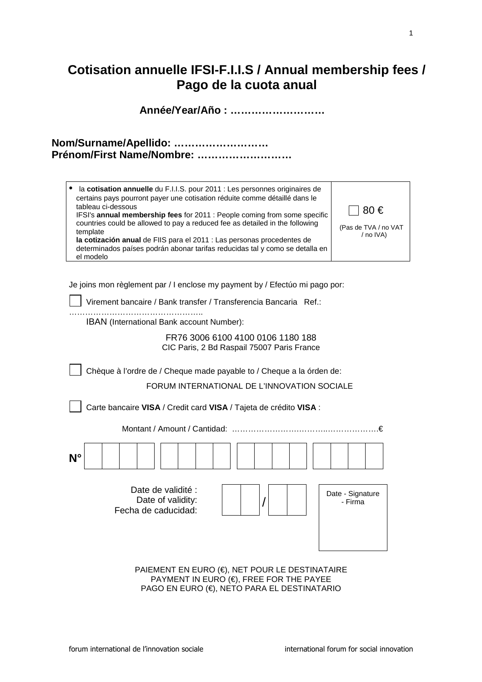# **Cotisation annuelle IFSI-F.I.I.S / Annual membership fees / Pago de la cuota anual**

**Année/Year/Año : ………………………**

| Nom/Surname/Apellido:     |  |
|---------------------------|--|
| Prénom/First Name/Nombre: |  |

| la cotisation annuelle du F.I.I.S. pour 2011 : Les personnes originaires de<br>certains pays pourront payer une cotisation réduite comme détaillé dans le<br>tableau ci-dessous<br>IFSI's annual membership fees for 2011 : People coming from some specific<br>countries could be allowed to pay a reduced fee as detailed in the following<br>template<br>la cotización anual de FIIS para el 2011 : Las personas procedentes de<br>determinados países podrán abonar tarifas reducidas tal y como se detalla en<br>el modelo | $180 \in$<br>(Pas de TVA / no VAT<br>/ no IVA) |
|---------------------------------------------------------------------------------------------------------------------------------------------------------------------------------------------------------------------------------------------------------------------------------------------------------------------------------------------------------------------------------------------------------------------------------------------------------------------------------------------------------------------------------|------------------------------------------------|
|---------------------------------------------------------------------------------------------------------------------------------------------------------------------------------------------------------------------------------------------------------------------------------------------------------------------------------------------------------------------------------------------------------------------------------------------------------------------------------------------------------------------------------|------------------------------------------------|

Je joins mon règlement par / I enclose my payment by / Efectúo mi pago por:

Virement bancaire / Bank transfer / Transferencia Bancaria Ref.:

………………………………………….. IBAN (International Bank account Number):

# FR76 3006 6100 4100 0106 1180 188 CIC Paris, 2 Bd Raspail 75007 Paris France

Chèque à l'ordre de / Cheque made payable to / Cheque a la órden de:

FORUM INTERNATIONAL DE L'INNOVATION SOCIALE

Carte bancaire **VISA** / Credit card **VISA** / Tajeta de crédito **VISA** :

Montant / Amount / Cantidad: …………………….………..……………….€ **N°** Date de validité : Date of validity: Fecha de caducidad: / Date - Signature - Firma

PAIEMENT EN EURO (€), NET POUR LE DESTINATAIRE PAYMENT IN EURO ( $\notin$ ), FREE FOR THE PAYEE PAGO EN EURO (€), NETO PARA EL DESTINATARIO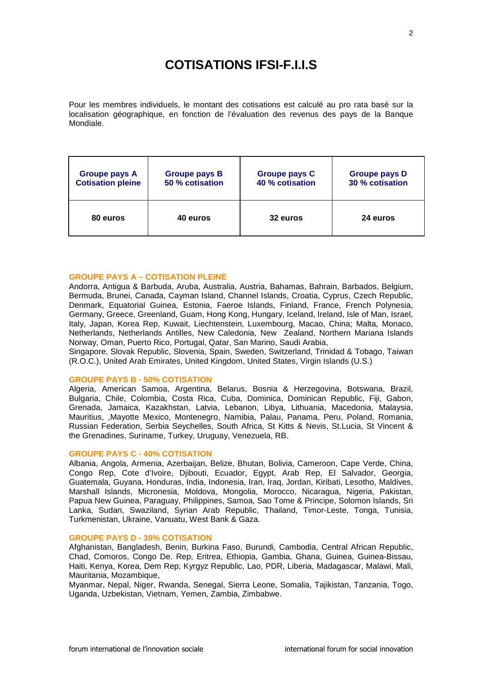# **COTISATIONS IFSI-F.I.I.S**

Pour les membres individuels, le montant des cotisations est calculé au pro rata basé sur la localisation géographique, en fonction de l'évaluation des revenus des pays de la Banque Mondiale.

| <b>Groupe pays A</b>     | <b>Groupe pays B</b> | <b>Groupe pays C</b> | <b>Groupe pays D</b> |
|--------------------------|----------------------|----------------------|----------------------|
| <b>Cotisation pleine</b> | 50 % cotisation      | 40 % cotisation      | 30 % cotisation      |
| 80 euros                 | 40 euros             | 32 euros             | 24 euros             |

#### **GROUPE PAYS A – COTISATION PLEINE**

Andorra, Antigua & Barbuda, Aruba, Australia, Austria, Bahamas, Bahrain, Barbados, Belgium, Bermuda, Brunei, Canada, Cayman Island, Channel Islands, Croatia, Cyprus, Czech Republic, Denmark, Equatorial Guinea, Estonia, Faeroe Islands, Finland, France, French Polynesia, Germany, Greece, Greenland, Guam, Hong Kong, Hungary, Iceland, Ireland, Isle of Man, Israel, Italy, Japan, Korea Rep, Kuwait, Liechtenstein, Luxembourg, Macao, China; Malta, Monaco, Netherlands, Netherlands Antilles, New Caledonia, New Zealand, Northern Mariana Islands Norway, Oman, Puerto Rico, Portugal, Qatar, San Marino, Saudi Arabia,

Singapore, Slovak Republic, Slovenia, Spain, Sweden, Switzerland, Trinidad & Tobago, Taiwan (R.O.C.), United Arab Emirates, United Kingdom, United States, Virgin Islands (U.S.)

### **GROUPE PAYS B - 50% COTISATION**

Algeria, American Samoa, Argentina, Belarus, Bosnia & Herzegovina, Botswana, Brazil, Bulgaria, Chile, Colombia, Costa Rica, Cuba, Dominica, Dominican Republic, Fiji, Gabon, Grenada, Jamaica, Kazakhstan, Latvia, Lebanon, Libya, Lithuania, Macedonia, Malaysia, Mauritius, ,Mayotte Mexico, Montenegro, Namibia, Palau, Panama, Peru, Poland, Romania, Russian Federation, Serbia Seychelles, South Africa, St Kitts & Nevis, St.Lucia, St Vincent & the Grenadines, Suriname, Turkey, Uruguay, Venezuela, RB.

#### **GROUPE PAYS C - 40% COTISATION**

Albania, Angola, Armenia, Azerbaijan, Belize, Bhutan, Bolivia, Cameroon, Cape Verde, China, Congo Rep, Cote d'Ivoire, Djibouti, Ecuador, Egypt, Arab Rep, El Salvador, Georgia, Guatemala, Guyana, Honduras, India, Indonesia, Iran, Iraq, Jordan, Kiribati, Lesotho, Maldives, Marshall Islands, Micronesia, Moldova, Mongolia, Morocco, Nicaragua, Nigeria, Pakistan, Papua New Guinea, Paraguay, Philippines, Samoa, Sao Tome & Principe, Solomon Islands, Sri Lanka, Sudan, Swaziland, Syrian Arab Republic, Thailand, Timor-Leste, Tonga, Tunisia, Turkmenistan, Ukraine, Vanuatu, West Bank & Gaza.

#### **GROUPE PAYS D - 30% COTISATION**

Afghanistan, Bangladesh, Benin, Burkina Faso, Burundi, Cambodia, Central African Republic, Chad, Comoros, Congo De. Rep, Eritrea, Ethiopia, Gambia, Ghana, Guinea, Guinea-Bissau, Haiti, Kenya, Korea, Dem Rep; Kyrgyz Republic, Lao, PDR, Liberia, Madagascar, Malawi, Mali, Mauritania, Mozambique,

Myanmar, Nepal, Niger, Rwanda, Senegal, Sierra Leone, Somalia, Tajikistan, Tanzania, Togo, Uganda, Uzbekistan, Vietnam, Yemen, Zambia, Zimbabwe.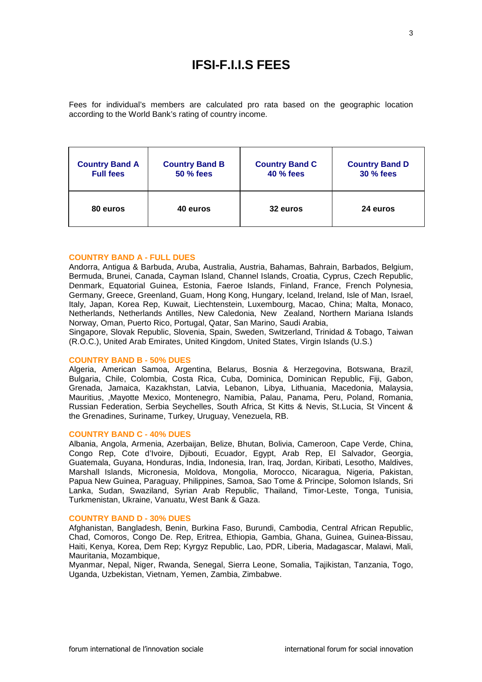# **IFSI-F.I.I.S FEES**

Fees for individual's members are calculated pro rata based on the geographic location according to the World Bank's rating of country income.

| <b>Country Band A</b> | <b>Country Band B</b> | <b>Country Band C</b> | <b>Country Band D</b> |
|-----------------------|-----------------------|-----------------------|-----------------------|
| <b>Full fees</b>      | <b>50 % fees</b>      | <b>40 % fees</b>      | <b>30 % fees</b>      |
| 80 euros              | 40 euros              | 32 euros              | 24 euros              |

#### **COUNTRY BAND A - FULL DUES**

Andorra, Antigua & Barbuda, Aruba, Australia, Austria, Bahamas, Bahrain, Barbados, Belgium, Bermuda, Brunei, Canada, Cayman Island, Channel Islands, Croatia, Cyprus, Czech Republic, Denmark, Equatorial Guinea, Estonia, Faeroe Islands, Finland, France, French Polynesia, Germany, Greece, Greenland, Guam, Hong Kong, Hungary, Iceland, Ireland, Isle of Man, Israel, Italy, Japan, Korea Rep, Kuwait, Liechtenstein, Luxembourg, Macao, China; Malta, Monaco, Netherlands, Netherlands Antilles, New Caledonia, New Zealand, Northern Mariana Islands Norway, Oman, Puerto Rico, Portugal, Qatar, San Marino, Saudi Arabia,

Singapore, Slovak Republic, Slovenia, Spain, Sweden, Switzerland, Trinidad & Tobago, Taiwan (R.O.C.), United Arab Emirates, United Kingdom, United States, Virgin Islands (U.S.)

#### **COUNTRY BAND B - 50% DUES**

Algeria, American Samoa, Argentina, Belarus, Bosnia & Herzegovina, Botswana, Brazil, Bulgaria, Chile, Colombia, Costa Rica, Cuba, Dominica, Dominican Republic, Fiji, Gabon, Grenada, Jamaica, Kazakhstan, Latvia, Lebanon, Libya, Lithuania, Macedonia, Malaysia, Mauritius, ,Mayotte Mexico, Montenegro, Namibia, Palau, Panama, Peru, Poland, Romania, Russian Federation, Serbia Seychelles, South Africa, St Kitts & Nevis, St.Lucia, St Vincent & the Grenadines, Suriname, Turkey, Uruguay, Venezuela, RB.

#### **COUNTRY BAND C - 40% DUES**

Albania, Angola, Armenia, Azerbaijan, Belize, Bhutan, Bolivia, Cameroon, Cape Verde, China, Congo Rep, Cote d'Ivoire, Djibouti, Ecuador, Egypt, Arab Rep, El Salvador, Georgia, Guatemala, Guyana, Honduras, India, Indonesia, Iran, Iraq, Jordan, Kiribati, Lesotho, Maldives, Marshall Islands, Micronesia, Moldova, Mongolia, Morocco, Nicaragua, Nigeria, Pakistan, Papua New Guinea, Paraguay, Philippines, Samoa, Sao Tome & Principe, Solomon Islands, Sri Lanka, Sudan, Swaziland, Syrian Arab Republic, Thailand, Timor-Leste, Tonga, Tunisia, Turkmenistan, Ukraine, Vanuatu, West Bank & Gaza.

#### **COUNTRY BAND D - 30% DUES**

Afghanistan, Bangladesh, Benin, Burkina Faso, Burundi, Cambodia, Central African Republic, Chad, Comoros, Congo De. Rep, Eritrea, Ethiopia, Gambia, Ghana, Guinea, Guinea-Bissau, Haiti, Kenya, Korea, Dem Rep; Kyrgyz Republic, Lao, PDR, Liberia, Madagascar, Malawi, Mali, Mauritania, Mozambique,

Myanmar, Nepal, Niger, Rwanda, Senegal, Sierra Leone, Somalia, Tajikistan, Tanzania, Togo, Uganda, Uzbekistan, Vietnam, Yemen, Zambia, Zimbabwe.